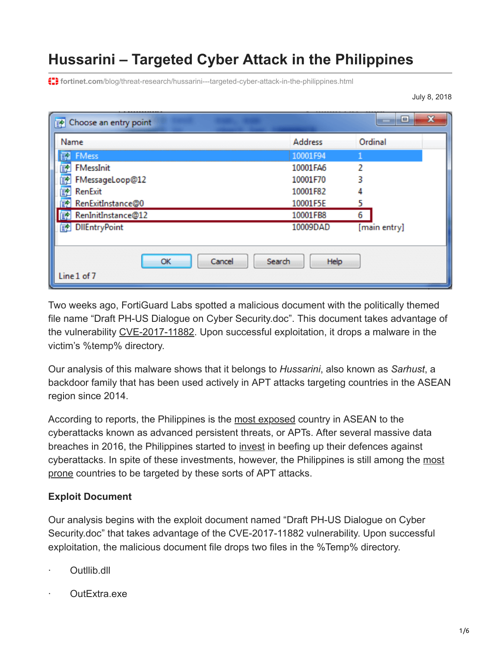# **Hussarini – Targeted Cyber Attack in the Philippines**

**f:** fortinet.com[/blog/threat-research/hussarini---targeted-cyber-attack-in-the-philippines.html](https://www.fortinet.com/blog/threat-research/hussarini---targeted-cyber-attack-in-the-philippines.html)

July 8, 2018

| <b>E</b> Choose an entry point |                | ×<br>▣       |
|--------------------------------|----------------|--------------|
| Name                           | <b>Address</b> | Ordinal      |
| <b>图 FMess</b>                 | 10001F94       |              |
| 輇<br><b>FMessInit</b>          | 10001FA6       | 2            |
| 國<br>FMessageLoop@12           | 10001F70       | ર            |
| 酏<br><b>RenExit</b>            | 10001F82       |              |
| ाहरू<br>RenExitInstance@0      | 10001F5E       | 5            |
| 图 RenInitInstance@12           | 10001FB8       | 6            |
| <b>DIEntryPoint</b><br>酏       | 10009DAD       | [main entry] |
|                                |                |              |
| Cancel<br>OK                   | Search<br>Help |              |
| Line 1 of 7                    |                |              |

Two weeks ago, FortiGuard Labs spotted a malicious document with the politically themed file name "Draft PH-US Dialogue on Cyber Security.doc". This document takes advantage of the vulnerability [CVE-2017-11882.](https://www.fortinet.com/blog/threat-research/cve-2017-11826-exploited-in-the-wild-with-politically-themed-rtf-document.html) Upon successful exploitation, it drops a malware in the victim's %temp% directory.

Our analysis of this malware shows that it belongs to *Hussarini*, also known as *Sarhust*, a backdoor family that has been used actively in APT attacks targeting countries in the ASEAN region since 2014.

According to reports, the Philippines is the [most exposed](http://news.abs-cbn.com/business/08/15/14/philippines-most-exposed-cyber-attack-threats-report) country in ASEAN to the cyberattacks known as advanced persistent threats, or APTs. After several massive data breaches in 2016, the Philippines started to [invest](http://cnnphilippines.com/business/2017/05/04/Govt-to-invest-P2B-for-national-cybersecurity.html) in beefing up their defences against [cyberattacks. In spite of these investments, however, the Philippines is still among the most](http://business.inquirer.net/250163/ph-among-prone-cybersecurity-attacks) prone countries to be targeted by these sorts of APT attacks.

#### **Exploit Document**

Our analysis begins with the exploit document named "Draft PH-US Dialogue on Cyber Security.doc" that takes advantage of the CVE-2017-11882 vulnerability. Upon successful exploitation, the malicious document file drops two files in the %Temp% directory.

- · Outllib.dll
- · OutExtra.exe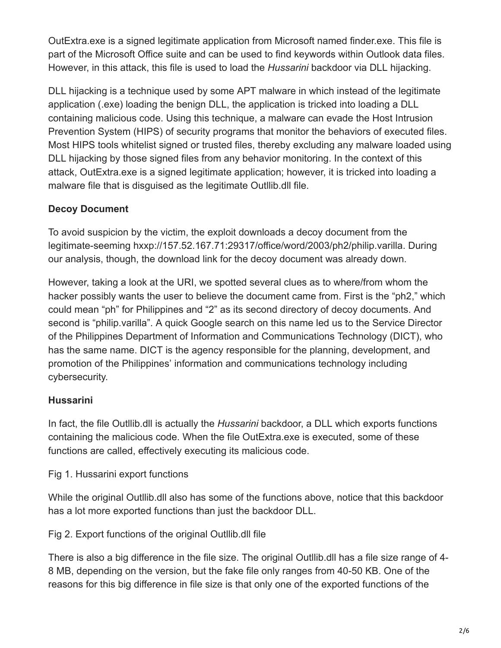OutExtra.exe is a signed legitimate application from Microsoft named finder.exe. This file is part of the Microsoft Office suite and can be used to find keywords within Outlook data files. However, in this attack, this file is used to load the *Hussarini* backdoor via DLL hijacking.

DLL hijacking is a technique used by some APT malware in which instead of the legitimate application (.exe) loading the benign DLL, the application is tricked into loading a DLL containing malicious code. Using this technique, a malware can evade the Host Intrusion Prevention System (HIPS) of security programs that monitor the behaviors of executed files. Most HIPS tools whitelist signed or trusted files, thereby excluding any malware loaded using DLL hijacking by those signed files from any behavior monitoring. In the context of this attack, OutExtra.exe is a signed legitimate application; however, it is tricked into loading a malware file that is disguised as the legitimate Outllib.dll file.

# **Decoy Document**

To avoid suspicion by the victim, the exploit downloads a decoy document from the legitimate-seeming hxxp://157.52.167.71:29317/office/word/2003/ph2/philip.varilla. During our analysis, though, the download link for the decoy document was already down.

However, taking a look at the URI, we spotted several clues as to where/from whom the hacker possibly wants the user to believe the document came from. First is the "ph2," which could mean "ph" for Philippines and "2" as its second directory of decoy documents. And second is "philip.varilla". A quick Google search on this name led us to the Service Director of the Philippines Department of Information and Communications Technology (DICT), who has the same name. DICT is the agency responsible for the planning, development, and promotion of the Philippines' information and communications technology including cybersecurity.

## **Hussarini**

In fact, the file Outllib.dll is actually the *Hussarini* backdoor, a DLL which exports functions containing the malicious code. When the file OutExtra.exe is executed, some of these functions are called, effectively executing its malicious code.

## Fig 1. Hussarini export functions

While the original Outllib.dll also has some of the functions above, notice that this backdoor has a lot more exported functions than just the backdoor DLL.

Fig 2. Export functions of the original Outllib.dll file

There is also a big difference in the file size. The original Outllib.dll has a file size range of 4- 8 MB, depending on the version, but the fake file only ranges from 40-50 KB. One of the reasons for this big difference in file size is that only one of the exported functions of the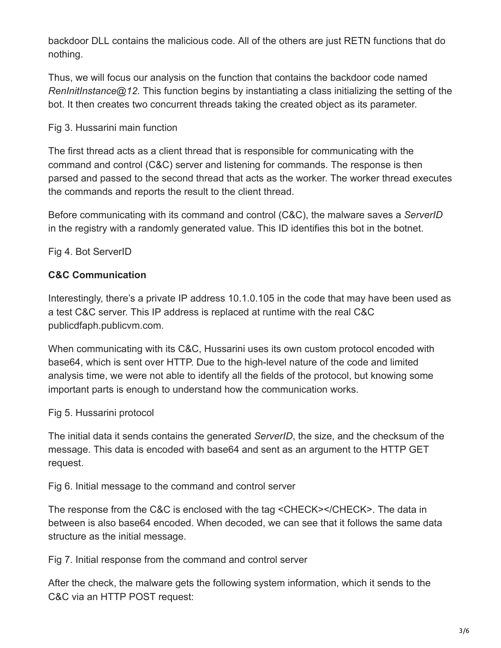backdoor DLL contains the malicious code. All of the others are just RETN functions that do nothing.

Thus, we will focus our analysis on the function that contains the backdoor code named *RenInitInstance@12.* This function begins by instantiating a class initializing the setting of the bot. It then creates two concurrent threads taking the created object as its parameter.

#### Fig 3. Hussarini main function

The first thread acts as a client thread that is responsible for communicating with the command and control (C&C) server and listening for commands. The response is then parsed and passed to the second thread that acts as the worker. The worker thread executes the commands and reports the result to the client thread.

Before communicating with its command and control (C&C), the malware saves a *ServerID* in the registry with a randomly generated value. This ID identifies this bot in the botnet.

Fig 4. Bot ServerID

## **C&C Communication**

Interestingly, there's a private IP address 10.1.0.105 in the code that may have been used as a test C&C server. This IP address is replaced at runtime with the real C&C publicdfaph.publicvm.com.

When communicating with its C&C, Hussarini uses its own custom protocol encoded with base64, which is sent over HTTP. Due to the high-level nature of the code and limited analysis time, we were not able to identify all the fields of the protocol, but knowing some important parts is enough to understand how the communication works.

#### Fig 5. Hussarini protocol

The initial data it sends contains the generated *ServerID*, the size, and the checksum of the message. This data is encoded with base64 and sent as an argument to the HTTP GET request.

Fig 6. Initial message to the command and control server

The response from the C&C is enclosed with the tag <CHECK></CHECK>. The data in between is also base64 encoded. When decoded, we can see that it follows the same data structure as the initial message.

Fig 7. Initial response from the command and control server

After the check, the malware gets the following system information, which it sends to the C&C via an HTTP POST request: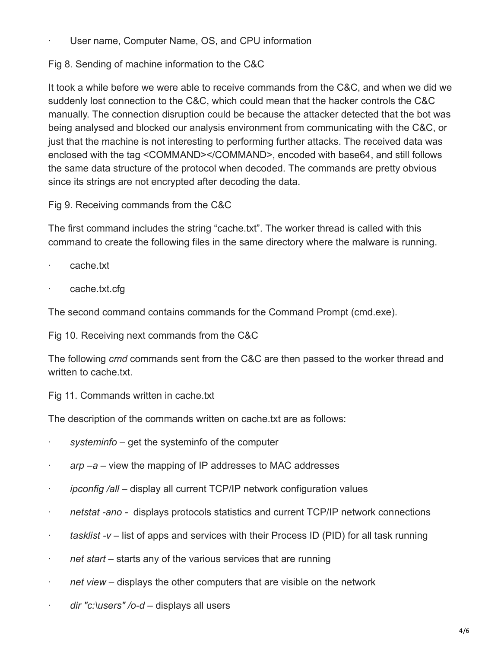- User name, Computer Name, OS, and CPU information
- Fig 8. Sending of machine information to the C&C

It took a while before we were able to receive commands from the C&C, and when we did we suddenly lost connection to the C&C, which could mean that the hacker controls the C&C manually. The connection disruption could be because the attacker detected that the bot was being analysed and blocked our analysis environment from communicating with the C&C, or just that the machine is not interesting to performing further attacks. The received data was enclosed with the tag <COMMAND></COMMAND>, encoded with base64, and still follows the same data structure of the protocol when decoded. The commands are pretty obvious since its strings are not encrypted after decoding the data.

Fig 9. Receiving commands from the C&C

The first command includes the string "cache.txt". The worker thread is called with this command to create the following files in the same directory where the malware is running.

- · cache.txt
- cache.txt.cfg

The second command contains commands for the Command Prompt (cmd.exe).

Fig 10. Receiving next commands from the C&C

The following *cmd* commands sent from the C&C are then passed to the worker thread and written to cache.txt.

Fig 11. Commands written in cache.txt

The description of the commands written on cache.txt are as follows:

- systeminfo get the systeminfo of the computer
- · *arp –a*  view the mapping of IP addresses to MAC addresses
- · *ipconfig /all* display all current TCP/IP network configuration values
- · *netstat -ano* displays protocols statistics and current TCP/IP network connections
- · *tasklist -v* list of apps and services with their Process ID (PID) for all task running
- · *net start* starts any of the various services that are running
- · *net view* displays the other computers that are visible on the network
- · *dir "c:\users" /o-d* displays all users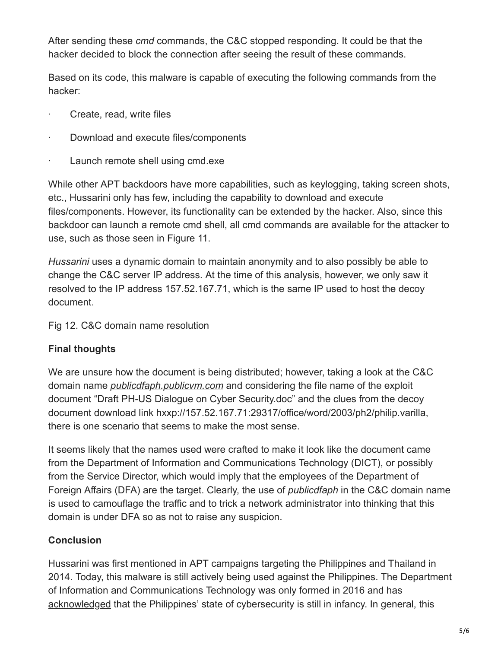After sending these *cmd* commands, the C&C stopped responding. It could be that the hacker decided to block the connection after seeing the result of these commands.

Based on its code, this malware is capable of executing the following commands from the hacker:

- · Create, read, write files
- · Download and execute files/components
- · Launch remote shell using cmd.exe

While other APT backdoors have more capabilities, such as keylogging, taking screen shots, etc., Hussarini only has few, including the capability to download and execute files/components. However, its functionality can be extended by the hacker. Also, since this backdoor can launch a remote cmd shell, all cmd commands are available for the attacker to use, such as those seen in Figure 11.

*Hussarini* uses a dynamic domain to maintain anonymity and to also possibly be able to change the C&C server IP address. At the time of this analysis, however, we only saw it resolved to the IP address 157.52.167.71, which is the same IP used to host the decoy document.

Fig 12. C&C domain name resolution

# **Final thoughts**

We are unsure how the document is being distributed; however, taking a look at the C&C domain name *publicdfaph.publicvm.com* and considering the file name of the exploit document "Draft PH-US Dialogue on Cyber Security.doc" and the clues from the decoy document download link hxxp://157.52.167.71:29317/office/word/2003/ph2/philip.varilla, there is one scenario that seems to make the most sense.

It seems likely that the names used were crafted to make it look like the document came from the Department of Information and Communications Technology (DICT), or possibly from the Service Director, which would imply that the employees of the Department of Foreign Affairs (DFA) are the target. Clearly, the use of *publicdfaph* in the C&C domain name is used to camouflage the traffic and to trick a network administrator into thinking that this domain is under DFA so as not to raise any suspicion.

# **Conclusion**

Hussarini was first mentioned in APT campaigns targeting the Philippines and Thailand in 2014. Today, this malware is still actively being used against the Philippines. The Department of Information and Communications Technology was only formed in 2016 and has [acknowledged](https://www.rappler.com/technology/news/168634-dict-launches-ph-5-year-natl-cybersecurity-plan) that the Philippines' state of cybersecurity is still in infancy. In general, this